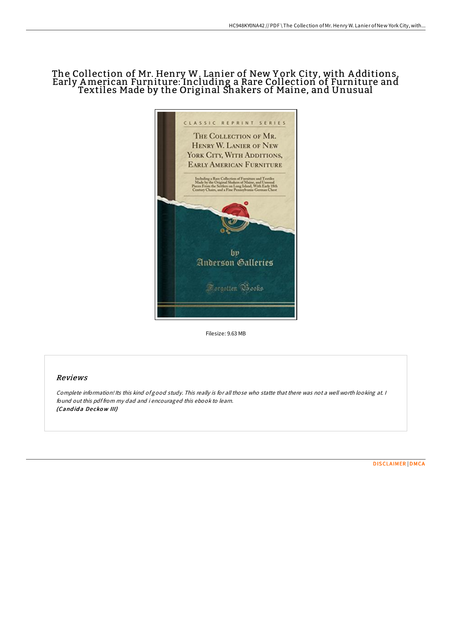# The Collection of Mr. Henry W. Lanier of New Y ork City, with A dditions, Early American Furniture: Including a Rare Collection of Furniture and Textiles Made by the Original Shakers of Maine, and Unusual



Filesize: 9.63 MB

## Reviews

Complete information! Its this kind of good study. This really is for all those who statte that there was not <sup>a</sup> well worth looking at. <sup>I</sup> found out this pdf from my dad and i encouraged this ebook to learn. (Candida Deckow III)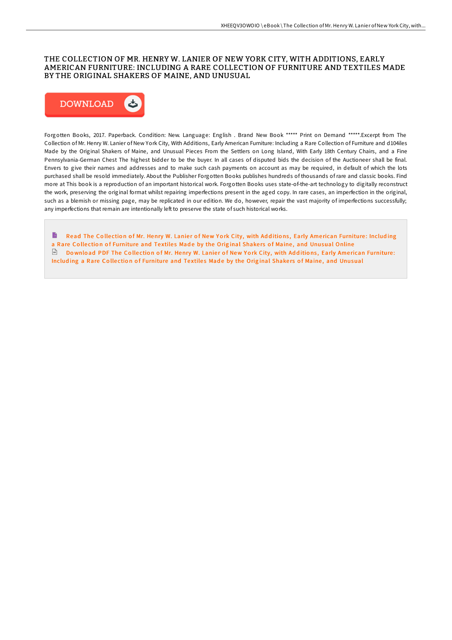## THE COLLECTION OF MR. HENRY W. LANIER OF NEW YORK CITY, WITH ADDITIONS, EARLY AMERICAN FURNITURE: INCLUDING A RARE COLLECTION OF FURNITURE AND TEXTILES MADE BY THE ORIGINAL SHAKERS OF MAINE, AND UNUSUAL



Forgotten Books, 2017. Paperback. Condition: New. Language: English . Brand New Book \*\*\*\*\* Print on Demand \*\*\*\*\*.Excerpt from The Collection of Mr. Henry W. Lanier of New York City, With Additions, Early American Furniture: Including a Rare Collection of Furniture and d104iles Made by the Original Shakers of Maine, and Unusual Pieces From the Settlers on Long Island, With Early 18th Century Chairs, and a Fine Pennsylvania-German Chest The highest bidder to be the buyer. In all cases of disputed bids the decision of the Auctioneer shall be final. Envers to give their names and addresses and to make such cash payments on account as may be required, in default of which the lots purchased shall be resold immediately. About the Publisher Forgotten Books publishes hundreds of thousands of rare and classic books. Find more at This book is a reproduction of an important historical work. Forgotten Books uses state-of-the-art technology to digitally reconstruct the work, preserving the original format whilst repairing imperfections present in the aged copy. In rare cases, an imperfection in the original, such as a blemish or missing page, may be replicated in our edition. We do, however, repair the vast majority of imperfections successfully; any imperfections that remain are intentionally left to preserve the state of such historical works.

B Read The Collection of Mr. Henry W. Lanier of New York City, with Additions, Early American [Furniture](http://almighty24.tech/the-collection-of-mr-henry-w-lanier-of-new-york-.html): Including a Rare Collection of Furniture and Textiles Made by the Original Shakers of Maine, and Unusual Online Do wnload PDF The Collection of Mr. Henry W. Lanier of New York City, with Additions, Early American Furniture: Including a Rare Collection of [Furniture](http://almighty24.tech/the-collection-of-mr-henry-w-lanier-of-new-york-.html) and Textiles Made by the Original Shakers of Maine, and Unusual